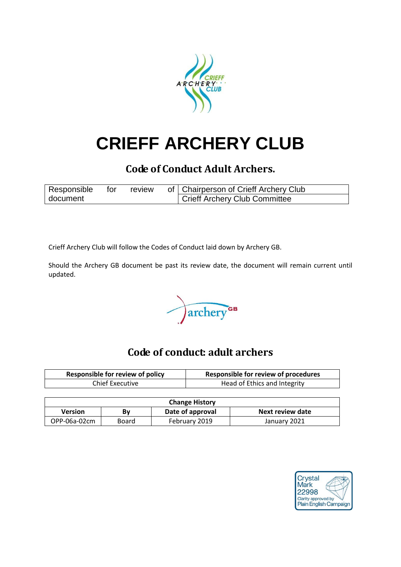

# **CRIEFF ARCHERY CLUB**

# **Code of Conduct Adult Archers.**

| Responsible | tor | review | of   Chairperson of Crieff Archery Club    |
|-------------|-----|--------|--------------------------------------------|
| document    |     |        | <sup>1</sup> Crieff Archery Club Committee |

Crieff Archery Club will follow the Codes of Conduct laid down by Archery GB.

Should the Archery GB document be past its review date, the document will remain current until updated.

archery<sup>GB</sup>

# **Code of conduct: adult archers**

| <b>Responsible for review of policy</b> | <b>Responsible for review of procedures</b> |
|-----------------------------------------|---------------------------------------------|
| Chief Executive                         | Head of Ethics and Integrity                |

| <b>Change History</b> |       |                  |                  |  |  |  |
|-----------------------|-------|------------------|------------------|--|--|--|
| <b>Version</b>        | Bv    | Date of approval | Next review date |  |  |  |
| OPP-06a-02cm          | Board | February 2019    | January 2021     |  |  |  |

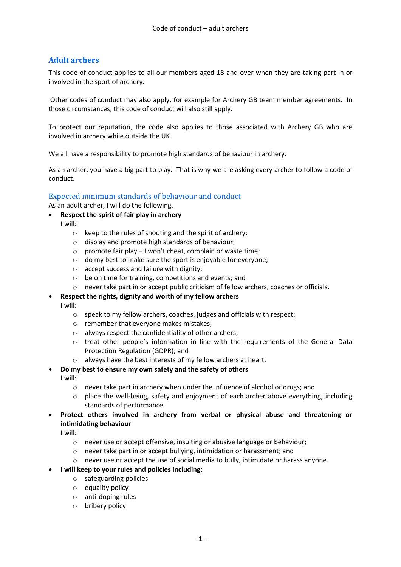# **Adult archers**

This code of conduct applies to all our members aged 18 and over when they are taking part in or involved in the sport of archery.

Other codes of conduct may also apply, for example for Archery GB team member agreements. In those circumstances, this code of conduct will also still apply.

To protect our reputation, the code also applies to those associated with Archery GB who are involved in archery while outside the UK.

We all have a responsibility to promote high standards of behaviour in archery.

As an archer, you have a big part to play. That is why we are asking every archer to follow a code of conduct.

## Expected minimum standards of behaviour and conduct

As an adult archer, I will do the following.

- **Respect the spirit of fair play in archery**
	- I will:
		- o keep to the rules of shooting and the spirit of archery;
		- o display and promote high standards of behaviour;
		- o promote fair play I won't cheat, complain or waste time;
		- o do my best to make sure the sport is enjoyable for everyone;
		- o accept success and failure with dignity;
		- o be on time for training, competitions and events; and
		- never take part in or accept public criticism of fellow archers, coaches or officials.

#### **Respect the rights, dignity and worth of my fellow archers**

I will:

- o speak to my fellow archers, coaches, judges and officials with respect;
- o remember that everyone makes mistakes;
- o always respect the confidentiality of other archers;
- o treat other people's information in line with the requirements of the General Data Protection Regulation (GDPR); and
- o always have the best interests of my fellow archers at heart.

#### **Do my best to ensure my own safety and the safety of others**

I will:

- o never take part in archery when under the influence of alcohol or drugs; and
- $\circ$  place the well-being, safety and enjoyment of each archer above everything, including standards of performance.
- **Protect others involved in archery from verbal or physical abuse and threatening or intimidating behaviour**

I will:

- o never use or accept offensive, insulting or abusive language or behaviour;
- o never take part in or accept bullying, intimidation or harassment; and
- o never use or accept the use of social media to bully, intimidate or harass anyone.

#### **I will keep to your rules and policies including:**

- o safeguarding policies
- o equality policy
- o anti-doping rules
- o bribery policy